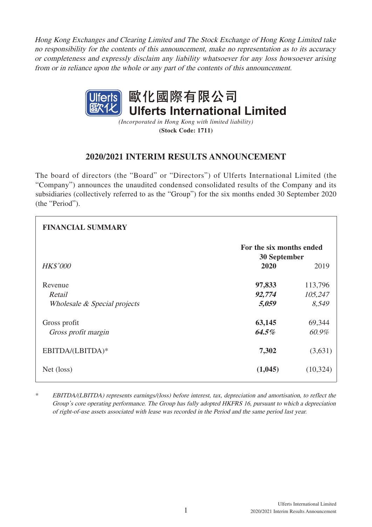Hong Kong Exchanges and Clearing Limited and The Stock Exchange of Hong Kong Limited take no responsibility for the contents of this announcement, make no representation as to its accuracy or completeness and expressly disclaim any liability whatsoever for any loss howsoever arising from or in reliance upon the whole or any part of the contents of this announcement.



*(Incorporated in Hong Kong with limited liability)* **(Stock Code: 1711)**

# **2020/2021 INTERIM RESULTS ANNOUNCEMENT**

The board of directors (the "Board" or "Directors") of Ulferts International Limited (the "Company") announces the unaudited condensed consolidated results of the Company and its subsidiaries (collectively referred to as the "Group") for the six months ended 30 September 2020 (the "Period").

| <b>FINANCIAL SUMMARY</b>               |                                          |                  |
|----------------------------------------|------------------------------------------|------------------|
|                                        | For the six months ended<br>30 September |                  |
| <b>HK\$'000</b>                        | 2020                                     | 2019             |
| Revenue                                | 97,833                                   | 113,796          |
| Retail<br>Wholesale & Special projects | 92,774<br>5,059                          | 105,247<br>8,549 |
|                                        |                                          |                  |
| Gross profit                           | 63,145                                   | 69,344           |
| Gross profit margin                    | 64.5%                                    | 60.9%            |
| EBITDA/(LBITDA)*                       | 7,302                                    | (3,631)          |
| Net (loss)                             | (1,045)                                  | (10, 324)        |

\* EBITDA/(LBITDA) represents earnings/(loss) before interest, tax, depreciation and amortisation, to reflect the Group's core operating performance. The Group has fully adopted HKFRS 16, pursuant to which a depreciation of right-of-use assets associated with lease was recorded in the Period and the same period last year.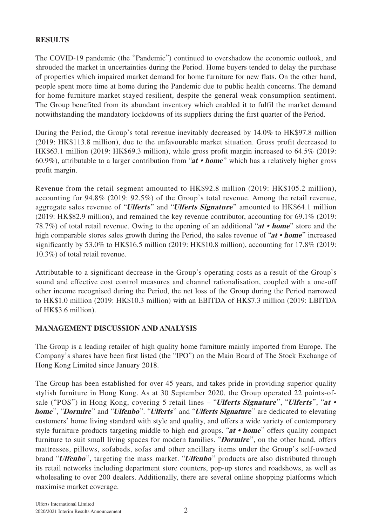# **RESULTS**

The COVID-19 pandemic (the "Pandemic") continued to overshadow the economic outlook, and shrouded the market in uncertainties during the Period. Home buyers tended to delay the purchase of properties which impaired market demand for home furniture for new flats. On the other hand, people spent more time at home during the Pandemic due to public health concerns. The demand for home furniture market stayed resilient, despite the general weak consumption sentiment. The Group benefited from its abundant inventory which enabled it to fulfil the market demand notwithstanding the mandatory lockdowns of its suppliers during the first quarter of the Period.

During the Period, the Group's total revenue inevitably decreased by 14.0% to HK\$97.8 million (2019: HK\$113.8 million), due to the unfavourable market situation. Gross profit decreased to HK\$63.1 million (2019: HK\$69.3 million), while gross profit margin increased to 64.5% (2019: 60.9%), attributable to a larger contribution from "**at • home**" which has a relatively higher gross profit margin.

Revenue from the retail segment amounted to HK\$92.8 million (2019: HK\$105.2 million), accounting for 94.8% (2019: 92.5%) of the Group's total revenue. Among the retail revenue, aggregate sales revenue of "**Ulferts**" and "**Ulferts Signature**" amounted to HK\$64.1 million (2019: HK\$82.9 million), and remained the key revenue contributor, accounting for 69.1% (2019: 78.7%) of total retail revenue. Owing to the opening of an additional "**at • home**" store and the high comparable stores sales growth during the Period, the sales revenue of "**at • home**" increased significantly by 53.0% to HK\$16.5 million (2019: HK\$10.8 million), accounting for 17.8% (2019: 10.3%) of total retail revenue.

Attributable to a significant decrease in the Group's operating costs as a result of the Group's sound and effective cost control measures and channel rationalisation, coupled with a one-off other income recognised during the Period, the net loss of the Group during the Period narrowed to HK\$1.0 million (2019: HK\$10.3 million) with an EBITDA of HK\$7.3 million (2019: LBITDA of HK\$3.6 million).

# **MANAGEMENT DISCUSSION AND ANALYSIS**

The Group is a leading retailer of high quality home furniture mainly imported from Europe. The Company's shares have been first listed (the "IPO") on the Main Board of The Stock Exchange of Hong Kong Limited since January 2018.

The Group has been established for over 45 years, and takes pride in providing superior quality stylish furniture in Hong Kong. As at 30 September 2020, the Group operated 22 points-ofsale ("POS") in Hong Kong, covering 5 retail lines – "**Ulferts Signature** ", "**Ulferts** ", "**at • home**", "**Dormire**" and "**Ulfenbo**". "**Ulferts**" and "**Ulferts Signature**" are dedicated to elevating customers' home living standard with style and quality, and offers a wide variety of contemporary style furniture products targeting middle to high end groups. "**at • home**" offers quality compact furniture to suit small living spaces for modern families. "**Dormire**", on the other hand, offers mattresses, pillows, sofabeds, sofas and other ancillary items under the Group's self-owned brand "**Ulfenbo**", targeting the mass market. "**Ulfenbo**" products are also distributed through its retail networks including department store counters, pop-up stores and roadshows, as well as wholesaling to over 200 dealers. Additionally, there are several online shopping platforms which maximise market coverage.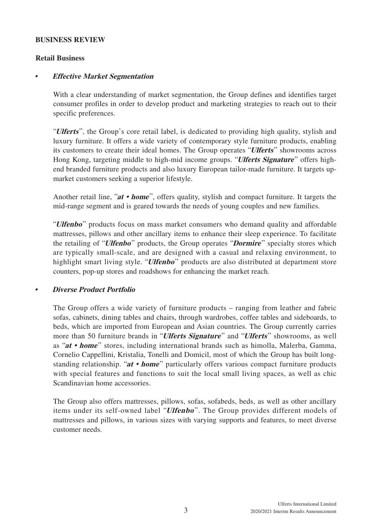## **BUSINESS REVIEW**

## **Retail Business**

# **• Effective Market Segmentation**

With a clear understanding of market segmentation, the Group defines and identifies target consumer profiles in order to develop product and marketing strategies to reach out to their specific preferences.

"**Ulferts**", the Group's core retail label, is dedicated to providing high quality, stylish and luxury furniture. It offers a wide variety of contemporary style furniture products, enabling its customers to create their ideal homes. The Group operates "**Ulferts**" showrooms across Hong Kong, targeting middle to high-mid income groups. "**Ulferts Signature**" offers highend branded furniture products and also luxury European tailor-made furniture. It targets upmarket customers seeking a superior lifestyle.

Another retail line, "**at • home**", offers quality, stylish and compact furniture. It targets the mid-range segment and is geared towards the needs of young couples and new families.

"**Ulfenbo**" products focus on mass market consumers who demand quality and affordable mattresses, pillows and other ancillary items to enhance their sleep experience. To facilitate the retailing of "**Ulfenbo**" products, the Group operates "**Dormire**" specialty stores which are typically small-scale, and are designed with a casual and relaxing environment, to highlight smart living style. "**Ulfenbo**" products are also distributed at department store counters, pop-up stores and roadshows for enhancing the market reach.

# **• Diverse Product Portfolio**

The Group offers a wide variety of furniture products – ranging from leather and fabric sofas, cabinets, dining tables and chairs, through wardrobes, coffee tables and sideboards, to beds, which are imported from European and Asian countries. The Group currently carries more than 50 furniture brands in "**Ulferts Signature**" and "**Ulferts**" showrooms, as well as "**at • home**" stores, including international brands such as himolla, Malerba, Gamma, Cornelio Cappellini, Kristalia, Tonelli and Domicil, most of which the Group has built longstanding relationship. "**at • home**" particularly offers various compact furniture products with special features and functions to suit the local small living spaces, as well as chic Scandinavian home accessories.

The Group also offers mattresses, pillows, sofas, sofabeds, beds, as well as other ancillary items under its self-owned label "**Ulfenbo** ". The Group provides different models of mattresses and pillows, in various sizes with varying supports and features, to meet diverse customer needs.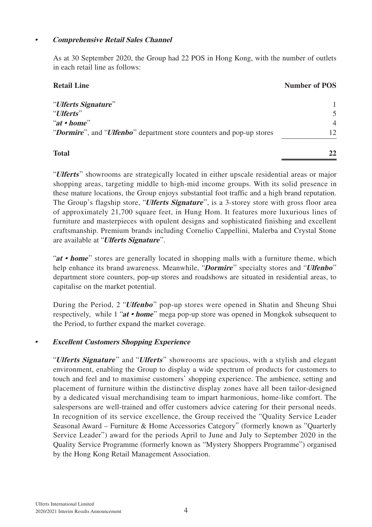# **• Comprehensive Retail Sales Channel**

As at 30 September 2020, the Group had 22 POS in Hong Kong, with the number of outlets in each retail line as follows:

| <b>Retail Line</b>                                                   | <b>Number of POS</b> |
|----------------------------------------------------------------------|----------------------|
| "Ulferts Signature"                                                  |                      |
| "Ulferts"                                                            | 5                    |
| "at $\cdot$ home"                                                    | $\overline{4}$       |
| "Dormire", and "Ulfenbo" department store counters and pop-up stores | 12.                  |
| <b>Total</b>                                                         | 22                   |

"**Ulferts**" showrooms are strategically located in either upscale residential areas or major shopping areas, targeting middle to high-mid income groups. With its solid presence in these mature locations, the Group enjoys substantial foot traffic and a high brand reputation. The Group's flagship store, "**Ulferts Signature**", is a 3-storey store with gross floor area of approximately 21,700 square feet, in Hung Hom. It features more luxurious lines of furniture and masterpieces with opulent designs and sophisticated finishing and excellent craftsmanship. Premium brands including Cornelio Cappellini, Malerba and Crystal Stone are available at "**Ulferts Signature**".

"**at • home**" stores are generally located in shopping malls with a furniture theme, which help enhance its brand awareness. Meanwhile, "**Dormire**" specialty stores and "**Ulfenbo**" department store counters, pop-up stores and roadshows are situated in residential areas, to capitalise on the market potential.

During the Period, 2 "**Ulfenbo**" pop-up stores were opened in Shatin and Sheung Shui respectively, while 1 "**at • home**" mega pop-up store was opened in Mongkok subsequent to the Period, to further expand the market coverage.

# **• Excellent Customers Shopping Experience**

"**Ulferts Signature**" and "**Ulferts**" showrooms are spacious, with a stylish and elegant environment, enabling the Group to display a wide spectrum of products for customers to touch and feel and to maximise customers' shopping experience. The ambience, setting and placement of furniture within the distinctive display zones have all been tailor-designed by a dedicated visual merchandising team to impart harmonious, home-like comfort. The salespersons are well-trained and offer customers advice catering for their personal needs. In recognition of its service excellence, the Group received the "Quality Service Leader Seasonal Award – Furniture & Home Accessories Category" (formerly known as "Quarterly Service Leader") award for the periods April to June and July to September 2020 in the Quality Service Programme (formerly known as "Mystery Shoppers Programme") organised by the Hong Kong Retail Management Association.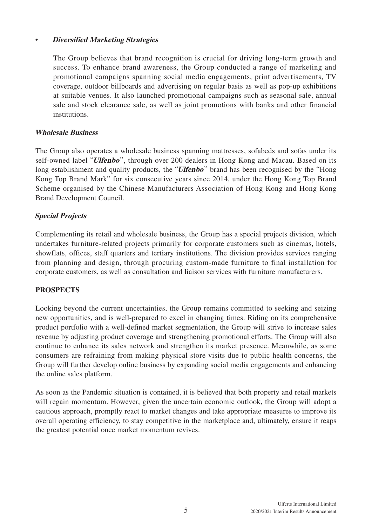# **• Diversified Marketing Strategies**

The Group believes that brand recognition is crucial for driving long-term growth and success. To enhance brand awareness, the Group conducted a range of marketing and promotional campaigns spanning social media engagements, print advertisements, TV coverage, outdoor billboards and advertising on regular basis as well as pop-up exhibitions at suitable venues. It also launched promotional campaigns such as seasonal sale, annual sale and stock clearance sale, as well as joint promotions with banks and other financial institutions.

# **Wholesale Business**

The Group also operates a wholesale business spanning mattresses, sofabeds and sofas under its self-owned label "**Ulfenbo**", through over 200 dealers in Hong Kong and Macau. Based on its long establishment and quality products, the "**Ulfenbo**" brand has been recognised by the "Hong" Kong Top Brand Mark" for six consecutive years since 2014, under the Hong Kong Top Brand Scheme organised by the Chinese Manufacturers Association of Hong Kong and Hong Kong Brand Development Council.

# **Special Projects**

Complementing its retail and wholesale business, the Group has a special projects division, which undertakes furniture-related projects primarily for corporate customers such as cinemas, hotels, showflats, offices, staff quarters and tertiary institutions. The division provides services ranging from planning and design, through procuring custom-made furniture to final installation for corporate customers, as well as consultation and liaison services with furniture manufacturers.

# **PROSPECTS**

Looking beyond the current uncertainties, the Group remains committed to seeking and seizing new opportunities, and is well-prepared to excel in changing times. Riding on its comprehensive product portfolio with a well-defined market segmentation, the Group will strive to increase sales revenue by adjusting product coverage and strengthening promotional efforts. The Group will also continue to enhance its sales network and strengthen its market presence. Meanwhile, as some consumers are refraining from making physical store visits due to public health concerns, the Group will further develop online business by expanding social media engagements and enhancing the online sales platform.

As soon as the Pandemic situation is contained, it is believed that both property and retail markets will regain momentum. However, given the uncertain economic outlook, the Group will adopt a cautious approach, promptly react to market changes and take appropriate measures to improve its overall operating efficiency, to stay competitive in the marketplace and, ultimately, ensure it reaps the greatest potential once market momentum revives.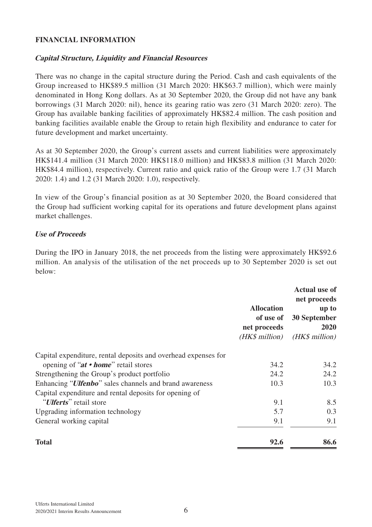## **FINANCIAL INFORMATION**

## **Capital Structure, Liquidity and Financial Resources**

There was no change in the capital structure during the Period. Cash and cash equivalents of the Group increased to HK\$89.5 million (31 March 2020: HK\$63.7 million), which were mainly denominated in Hong Kong dollars. As at 30 September 2020, the Group did not have any bank borrowings (31 March 2020: nil), hence its gearing ratio was zero (31 March 2020: zero). The Group has available banking facilities of approximately HK\$82.4 million. The cash position and banking facilities available enable the Group to retain high flexibility and endurance to cater for future development and market uncertainty.

As at 30 September 2020, the Group's current assets and current liabilities were approximately HK\$141.4 million (31 March 2020: HK\$118.0 million) and HK\$83.8 million (31 March 2020: HK\$84.4 million), respectively. Current ratio and quick ratio of the Group were 1.7 (31 March 2020: 1.4) and 1.2 (31 March 2020: 1.0), respectively.

In view of the Group's financial position as at 30 September 2020, the Board considered that the Group had sufficient working capital for its operations and future development plans against market challenges.

#### **Use of Proceeds**

During the IPO in January 2018, the net proceeds from the listing were approximately HK\$92.6 million. An analysis of the utilisation of the net proceeds up to 30 September 2020 is set out below:

|                                                                 | <b>Allocation</b><br>of use of<br>net proceeds<br>(HK\$ million) | <b>Actual use of</b><br>net proceeds<br>up to<br>30 September<br>2020<br>(HK\$ million) |
|-----------------------------------------------------------------|------------------------------------------------------------------|-----------------------------------------------------------------------------------------|
| Capital expenditure, rental deposits and overhead expenses for  |                                                                  |                                                                                         |
| opening of " $at \cdot home$ " retail stores                    | 34.2                                                             | 34.2                                                                                    |
| Strengthening the Group's product portfolio                     | 24.2                                                             | 24.2                                                                                    |
| Enhancing " <i>Ulfenbo</i> " sales channels and brand awareness | 10.3                                                             | 10.3                                                                                    |
| Capital expenditure and rental deposits for opening of          |                                                                  |                                                                                         |
| " <i>Ulferts</i> " retail store                                 | 9.1                                                              | 8.5                                                                                     |
| Upgrading information technology                                | 5.7                                                              | 0.3                                                                                     |
| General working capital                                         | 9.1                                                              | 9.1                                                                                     |
| <b>Total</b>                                                    | 92.6                                                             | 86.6                                                                                    |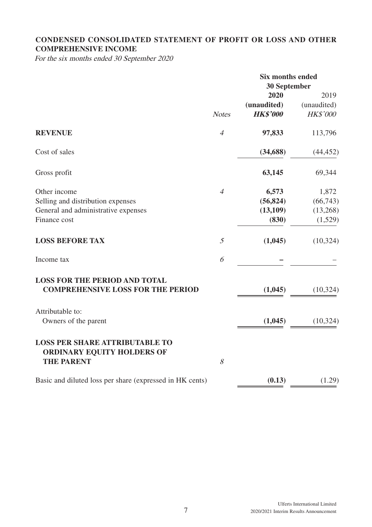# **CONDENSED CONSOLIDATED STATEMENT OF PROFIT OR LOSS AND OTHER COMPREHENSIVE INCOME**

For the six months ended 30 September 2020

|                                                                            |                | <b>Six months ended</b> |             |  |
|----------------------------------------------------------------------------|----------------|-------------------------|-------------|--|
|                                                                            | 30 September   |                         |             |  |
|                                                                            |                | 2020                    | 2019        |  |
|                                                                            |                | (unaudited)             | (unaudited) |  |
|                                                                            | <b>Notes</b>   | <b>HK\$'000</b>         | HK\$'000    |  |
| <b>REVENUE</b>                                                             | $\overline{4}$ | 97,833                  | 113,796     |  |
| Cost of sales                                                              |                | (34, 688)               | (44, 452)   |  |
| Gross profit                                                               |                | 63,145                  | 69,344      |  |
| Other income                                                               | $\overline{4}$ | 6,573                   | 1,872       |  |
| Selling and distribution expenses                                          |                | (56, 824)               | (66,743)    |  |
| General and administrative expenses                                        |                | (13,109)                | (13,268)    |  |
| Finance cost                                                               |                | (830)                   | (1,529)     |  |
| <b>LOSS BEFORE TAX</b>                                                     | 5              | (1,045)                 | (10, 324)   |  |
| Income tax                                                                 | 6              |                         |             |  |
| <b>LOSS FOR THE PERIOD AND TOTAL</b>                                       |                |                         |             |  |
| <b>COMPREHENSIVE LOSS FOR THE PERIOD</b>                                   |                | (1,045)                 | (10, 324)   |  |
| Attributable to:                                                           |                |                         |             |  |
| Owners of the parent                                                       |                | (1,045)                 | (10, 324)   |  |
| <b>LOSS PER SHARE ATTRIBUTABLE TO</b><br><b>ORDINARY EQUITY HOLDERS OF</b> |                |                         |             |  |
| <b>THE PARENT</b>                                                          | 8              |                         |             |  |
| Basic and diluted loss per share (expressed in HK cents)                   |                | (0.13)                  | (1.29)      |  |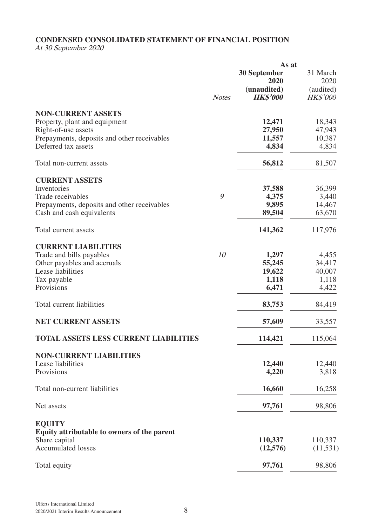## **CONDENSED CONSOLIDATED STATEMENT OF FINANCIAL POSITION**

At 30 September 2020

|                                                                    | As at        |                                |                              |
|--------------------------------------------------------------------|--------------|--------------------------------|------------------------------|
|                                                                    |              | <b>30 September</b><br>2020    | 31 March<br>2020             |
|                                                                    | <b>Notes</b> | (unaudited)<br><b>HK\$'000</b> | (audited)<br><b>HK\$'000</b> |
|                                                                    |              |                                |                              |
| <b>NON-CURRENT ASSETS</b>                                          |              |                                |                              |
| Property, plant and equipment                                      |              | 12,471                         | 18,343                       |
| Right-of-use assets<br>Prepayments, deposits and other receivables |              | 27,950<br>11,557               | 47,943<br>10,387             |
| Deferred tax assets                                                |              | 4,834                          | 4,834                        |
|                                                                    |              |                                |                              |
| Total non-current assets                                           |              | 56,812                         | 81,507                       |
| <b>CURRENT ASSETS</b>                                              |              |                                |                              |
| Inventories                                                        |              | 37,588                         | 36,399                       |
| Trade receivables                                                  | 9            | 4,375                          | 3,440                        |
| Prepayments, deposits and other receivables                        |              | 9,895                          | 14,467                       |
| Cash and cash equivalents                                          |              | 89,504                         | 63,670                       |
|                                                                    |              |                                |                              |
| Total current assets                                               |              | 141,362                        | 117,976                      |
| <b>CURRENT LIABILITIES</b>                                         |              |                                |                              |
| Trade and bills payables                                           | 10           | 1,297                          | 4,455                        |
| Other payables and accruals                                        |              | 55,245                         | 34,417                       |
| Lease liabilities                                                  |              | 19,622                         | 40,007                       |
| Tax payable                                                        |              | 1,118                          | 1,118                        |
| Provisions                                                         |              | 6,471                          | 4,422                        |
| Total current liabilities                                          |              | 83,753                         | 84,419                       |
|                                                                    |              |                                |                              |
| <b>NET CURRENT ASSETS</b>                                          |              | 57,609                         | 33,557                       |
| <b>TOTAL ASSETS LESS CURRENT LIABILITIES</b>                       |              | 114,421                        | 115,064                      |
| <b>NON-CURRENT LIABILITIES</b>                                     |              |                                |                              |
| Lease liabilities                                                  |              | 12,440                         | 12,440                       |
| Provisions                                                         |              | 4,220                          | 3,818                        |
|                                                                    |              |                                |                              |
| Total non-current liabilities                                      |              | 16,660                         | 16,258                       |
| Net assets                                                         |              | 97,761                         | 98,806                       |
| <b>EQUITY</b>                                                      |              |                                |                              |
| Equity attributable to owners of the parent                        |              |                                |                              |
| Share capital                                                      |              | 110,337                        | 110,337                      |
| <b>Accumulated losses</b>                                          |              | (12,576)                       | (11, 531)                    |
| Total equity                                                       |              | 97,761                         | 98,806                       |
|                                                                    |              |                                |                              |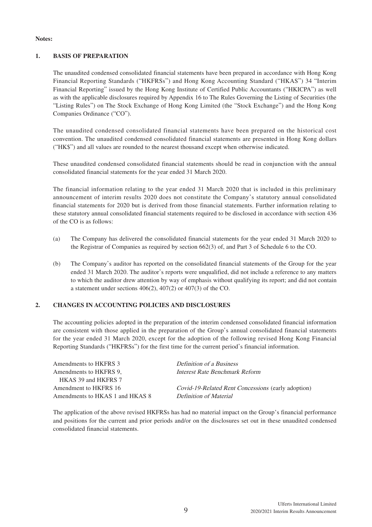#### **Notes:**

#### **1. BASIS OF PREPARATION**

The unaudited condensed consolidated financial statements have been prepared in accordance with Hong Kong Financial Reporting Standards ("HKFRSs") and Hong Kong Accounting Standard ("HKAS") 34 "Interim Financial Reporting" issued by the Hong Kong Institute of Certified Public Accountants ("HKICPA") as well as with the applicable disclosures required by Appendix 16 to The Rules Governing the Listing of Securities (the "Listing Rules") on The Stock Exchange of Hong Kong Limited (the "Stock Exchange") and the Hong Kong Companies Ordinance ("CO").

The unaudited condensed consolidated financial statements have been prepared on the historical cost convention. The unaudited condensed consolidated financial statements are presented in Hong Kong dollars ("HK\$") and all values are rounded to the nearest thousand except when otherwise indicated.

These unaudited condensed consolidated financial statements should be read in conjunction with the annual consolidated financial statements for the year ended 31 March 2020.

The financial information relating to the year ended 31 March 2020 that is included in this preliminary announcement of interim results 2020 does not constitute the Company's statutory annual consolidated financial statements for 2020 but is derived from those financial statements. Further information relating to these statutory annual consolidated financial statements required to be disclosed in accordance with section 436 of the CO is as follows:

- (a) The Company has delivered the consolidated financial statements for the year ended 31 March 2020 to the Registrar of Companies as required by section 662(3) of, and Part 3 of Schedule 6 to the CO.
- (b) The Company's auditor has reported on the consolidated financial statements of the Group for the year ended 31 March 2020. The auditor's reports were unqualified, did not include a reference to any matters to which the auditor drew attention by way of emphasis without qualifying its report; and did not contain a statement under sections 406(2), 407(2) or 407(3) of the CO.

#### **2. CHANGES IN ACCOUNTING POLICIES AND DISCLOSURES**

The accounting policies adopted in the preparation of the interim condensed consolidated financial information are consistent with those applied in the preparation of the Group's annual consolidated financial statements for the year ended 31 March 2020, except for the adoption of the following revised Hong Kong Financial Reporting Standards ("HKFRSs") for the first time for the current period's financial information.

| Amendments to HKFRS 3           | Definition of a Business                                  |
|---------------------------------|-----------------------------------------------------------|
| Amendments to HKFRS 9.          | Interest Rate Benchmark Reform                            |
| HKAS 39 and HKFRS 7             |                                                           |
| Amendment to HKFRS 16           | <i>Covid-19-Related Rent Concessions</i> (early adoption) |
| Amendments to HKAS 1 and HKAS 8 | Definition of Material                                    |
|                                 |                                                           |

The application of the above revised HKFRSs has had no material impact on the Group's financial performance and positions for the current and prior periods and/or on the disclosures set out in these unaudited condensed consolidated financial statements.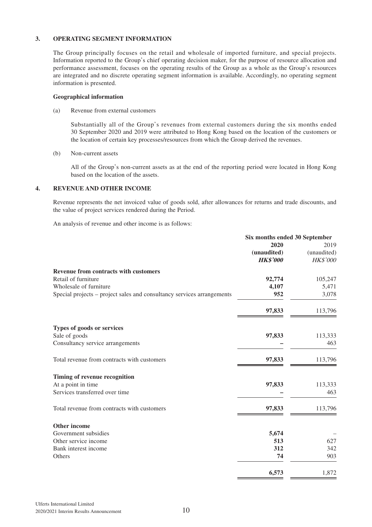#### **3. OPERATING SEGMENT INFORMATION**

The Group principally focuses on the retail and wholesale of imported furniture, and special projects. Information reported to the Group's chief operating decision maker, for the purpose of resource allocation and performance assessment, focuses on the operating results of the Group as a whole as the Group's resources are integrated and no discrete operating segment information is available. Accordingly, no operating segment information is presented.

#### **Geographical information**

(a) Revenue from external customers

Substantially all of the Group's revenues from external customers during the six months ended 30 September 2020 and 2019 were attributed to Hong Kong based on the location of the customers or the location of certain key processes/resources from which the Group derived the revenues.

(b) Non-current assets

All of the Group's non-current assets as at the end of the reporting period were located in Hong Kong based on the location of the assets.

#### **4. REVENUE AND OTHER INCOME**

Revenue represents the net invoiced value of goods sold, after allowances for returns and trade discounts, and the value of project services rendered during the Period.

An analysis of revenue and other income is as follows:

|                                                                        | Six months ended 30 September |             |
|------------------------------------------------------------------------|-------------------------------|-------------|
|                                                                        | 2020                          | 2019        |
|                                                                        | (unaudited)                   | (unaudited) |
|                                                                        | <b>HK\$'000</b>               | HK\$'000    |
| <b>Revenue from contracts with customers</b>                           |                               |             |
| Retail of furniture                                                    | 92,774                        | 105,247     |
| Wholesale of furniture                                                 | 4,107                         | 5,471       |
| Special projects – project sales and consultancy services arrangements | 952                           | 3,078       |
|                                                                        | 97,833                        | 113,796     |
| Types of goods or services                                             |                               |             |
| Sale of goods                                                          | 97,833                        | 113,333     |
| Consultancy service arrangements                                       |                               | 463         |
| Total revenue from contracts with customers                            | 97,833                        | 113,796     |
| Timing of revenue recognition                                          |                               |             |
| At a point in time                                                     | 97,833                        | 113,333     |
| Services transferred over time                                         |                               | 463         |
| Total revenue from contracts with customers                            | 97,833                        | 113,796     |
| <b>Other income</b>                                                    |                               |             |
| Government subsidies                                                   | 5,674                         |             |
| Other service income                                                   | 513                           | 627         |
| Bank interest income                                                   | 312                           | 342         |
| Others                                                                 | 74                            | 903         |
|                                                                        | 6,573                         | 1,872       |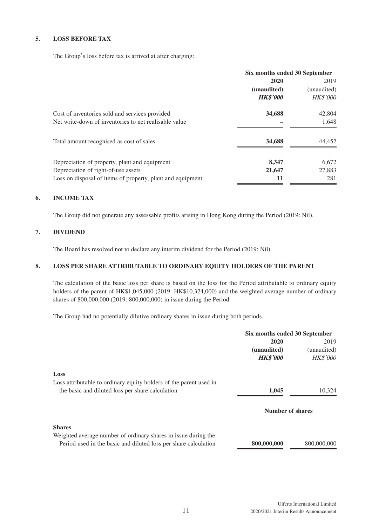#### **5. LOSS BEFORE TAX**

The Group's loss before tax is arrived at after charging:

|                                                            | Six months ended 30 September |                 |
|------------------------------------------------------------|-------------------------------|-----------------|
|                                                            | 2020                          | 2019            |
|                                                            | (unaudited)                   | (unaudited)     |
|                                                            | <b>HK\$'000</b>               | <b>HK\$'000</b> |
| Cost of inventories sold and services provided             | 34,688                        | 42,804          |
| Net write-down of inventories to net realisable value      |                               | 1,648           |
| Total amount recognised as cost of sales                   | 34,688                        | 44,452          |
| Depreciation of property, plant and equipment              | 8,347                         | 6,672           |
| Depreciation of right-of-use assets                        | 21,647                        | 27,883          |
| Loss on disposal of items of property, plant and equipment | 11                            | 281             |

#### **6. INCOME TAX**

The Group did not generate any assessable profits arising in Hong Kong during the Period (2019: Nil).

#### **7. DIVIDEND**

The Board has resolved not to declare any interim dividend for the Period (2019: Nil).

### **8. LOSS PER SHARE ATTRIBUTABLE TO ORDINARY EQUITY HOLDERS OF THE PARENT**

The calculation of the basic loss per share is based on the loss for the Period attributable to ordinary equity holders of the parent of HK\$1,045,000 (2019: HK\$10,324,000) and the weighted average number of ordinary shares of 800,000,000 (2019: 800,000,000) in issue during the Period.

The Group had no potentially dilutive ordinary shares in issue during both periods.

|                                                                    | Six months ended 30 September |                 |
|--------------------------------------------------------------------|-------------------------------|-----------------|
|                                                                    | 2020                          | 2019            |
|                                                                    | (unaudited)                   | (unaudited)     |
|                                                                    | <b>HK\$'000</b>               | <b>HK\$'000</b> |
| Loss                                                               |                               |                 |
| Loss attributable to ordinary equity holders of the parent used in |                               |                 |
| the basic and diluted loss per share calculation                   | 1.045                         | 10,324          |
|                                                                    | Number of shares              |                 |
| <b>Shares</b>                                                      |                               |                 |
| Weighted average number of ordinary shares in issue during the     |                               |                 |
| Period used in the basic and diluted loss per share calculation    | 800,000,000                   | 800,000,000     |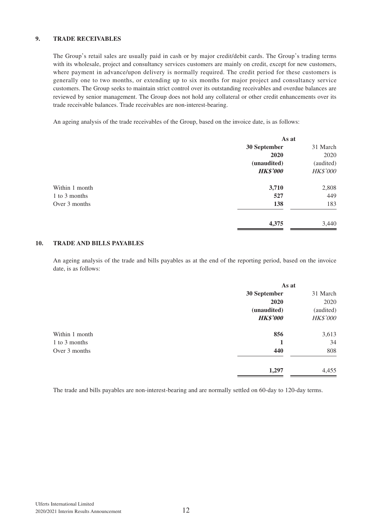#### **9. TRADE RECEIVABLES**

The Group's retail sales are usually paid in cash or by major credit/debit cards. The Group's trading terms with its wholesale, project and consultancy services customers are mainly on credit, except for new customers, where payment in advance/upon delivery is normally required. The credit period for these customers is generally one to two months, or extending up to six months for major project and consultancy service customers. The Group seeks to maintain strict control over its outstanding receivables and overdue balances are reviewed by senior management. The Group does not hold any collateral or other credit enhancements over its trade receivable balances. Trade receivables are non-interest-bearing.

An ageing analysis of the trade receivables of the Group, based on the invoice date, is as follows:

|                | As at           |           |
|----------------|-----------------|-----------|
|                | 30 September    | 31 March  |
|                | 2020            | 2020      |
|                | (unaudited)     | (audited) |
|                | <b>HK\$'000</b> | HK\$'000  |
| Within 1 month | 3,710           | 2,808     |
| 1 to 3 months  | 527             | 449       |
| Over 3 months  | 138             | 183       |
|                | 4,375           | 3,440     |

#### **10. TRADE AND BILLS PAYABLES**

An ageing analysis of the trade and bills payables as at the end of the reporting period, based on the invoice date, is as follows:

|                | As at           |                 |
|----------------|-----------------|-----------------|
|                | 30 September    | 31 March        |
|                | 2020            | 2020            |
|                | (unaudited)     | (audited)       |
|                | <b>HK\$'000</b> | <b>HK\$'000</b> |
| Within 1 month | 856             | 3,613           |
| 1 to 3 months  | 1               | 34              |
| Over 3 months  | 440             | 808             |
|                | 1,297           | 4,455           |

The trade and bills payables are non-interest-bearing and are normally settled on 60-day to 120-day terms.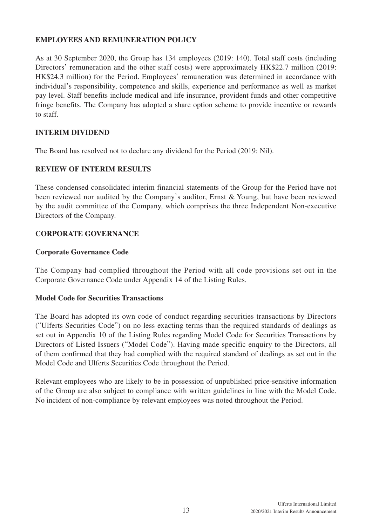# **EMPLOYEES AND REMUNERATION POLICY**

As at 30 September 2020, the Group has 134 employees (2019: 140). Total staff costs (including Directors' remuneration and the other staff costs) were approximately HK\$22.7 million (2019: HK\$24.3 million) for the Period. Employees' remuneration was determined in accordance with individual's responsibility, competence and skills, experience and performance as well as market pay level. Staff benefits include medical and life insurance, provident funds and other competitive fringe benefits. The Company has adopted a share option scheme to provide incentive or rewards to staff.

# **INTERIM DIVIDEND**

The Board has resolved not to declare any dividend for the Period (2019: Nil).

# **REVIEW OF INTERIM RESULTS**

These condensed consolidated interim financial statements of the Group for the Period have not been reviewed nor audited by the Company's auditor, Ernst & Young, but have been reviewed by the audit committee of the Company, which comprises the three Independent Non-executive Directors of the Company.

# **CORPORATE GOVERNANCE**

# **Corporate Governance Code**

The Company had complied throughout the Period with all code provisions set out in the Corporate Governance Code under Appendix 14 of the Listing Rules.

# **Model Code for Securities Transactions**

The Board has adopted its own code of conduct regarding securities transactions by Directors ("Ulferts Securities Code") on no less exacting terms than the required standards of dealings as set out in Appendix 10 of the Listing Rules regarding Model Code for Securities Transactions by Directors of Listed Issuers ("Model Code"). Having made specific enquiry to the Directors, all of them confirmed that they had complied with the required standard of dealings as set out in the Model Code and Ulferts Securities Code throughout the Period.

Relevant employees who are likely to be in possession of unpublished price-sensitive information of the Group are also subject to compliance with written guidelines in line with the Model Code. No incident of non-compliance by relevant employees was noted throughout the Period.